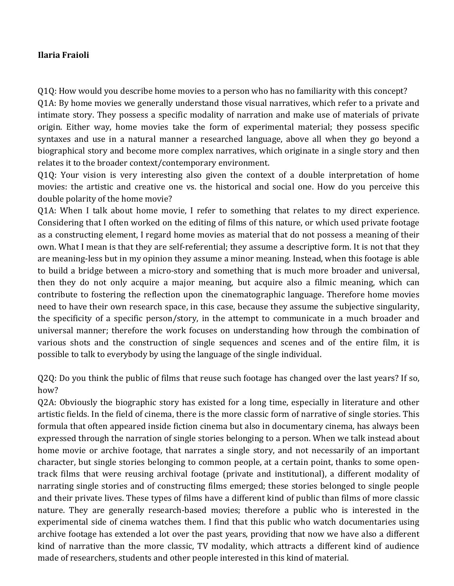## **Ilaria Fraioli**

O10: How would you describe home movies to a person who has no familiarity with this concept? Q1A: By home movies we generally understand those visual narratives, which refer to a private and intimate story. They possess a specific modality of narration and make use of materials of private origin. Either way, home movies take the form of experimental material; they possess specific syntaxes and use in a natural manner a researched language, above all when they go beyond a biographical story and become more complex narratives, which originate in a single story and then relates it to the broader context/contemporary environment.

Q1Q: Your vision is very interesting also given the context of a double interpretation of home movies: the artistic and creative one vs. the historical and social one. How do you perceive this double polarity of the home movie?

Q1A: When I talk about home movie, I refer to something that relates to my direct experience. Considering that I often worked on the editing of films of this nature, or which used private footage as a constructing element, I regard home movies as material that do not possess a meaning of their own. What I mean is that they are self-referential; they assume a descriptive form. It is not that they are meaning-less but in my opinion they assume a minor meaning. Instead, when this footage is able to build a bridge between a micro-story and something that is much more broader and universal, then they do not only acquire a major meaning, but acquire also a filmic meaning, which can contribute to fostering the reflection upon the cinematographic language. Therefore home movies need to have their own research space, in this case, because they assume the subjective singularity, the specificity of a specific person/story, in the attempt to communicate in a much broader and universal manner; therefore the work focuses on understanding how through the combination of various shots and the construction of single sequences and scenes and of the entire film, it is possible to talk to everybody by using the language of the single individual.

Q2Q: Do you think the public of films that reuse such footage has changed over the last years? If so, how?

Q2A: Obviously the biographic story has existed for a long time, especially in literature and other artistic fields. In the field of cinema, there is the more classic form of narrative of single stories. This formula that often appeared inside fiction cinema but also in documentary cinema, has always been expressed through the narration of single stories belonging to a person. When we talk instead about home movie or archive footage, that narrates a single story, and not necessarily of an important character, but single stories belonging to common people, at a certain point, thanks to some opentrack films that were reusing archival footage (private and institutional), a different modality of narrating single stories and of constructing films emerged; these stories belonged to single people and their private lives. These types of films have a different kind of public than films of more classic nature. They are generally research-based movies; therefore a public who is interested in the experimental side of cinema watches them. I find that this public who watch documentaries using archive footage has extended a lot over the past years, providing that now we have also a different kind of narrative than the more classic, TV modality, which attracts a different kind of audience made of researchers, students and other people interested in this kind of material.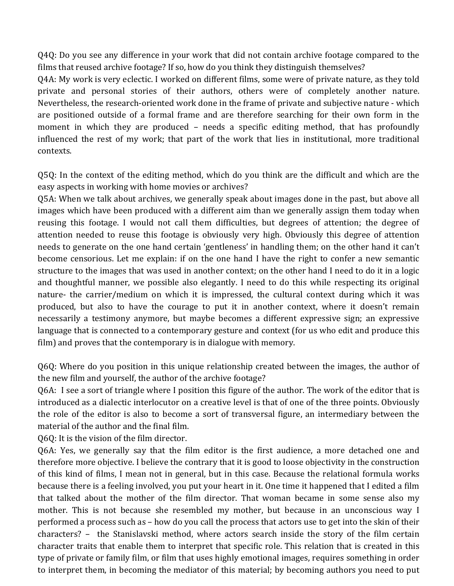Q4Q: Do you see any difference in your work that did not contain archive footage compared to the films that reused archive footage? If so, how do you think they distinguish themselves?

Q4A: My work is very eclectic. I worked on different films, some were of private nature, as they told private and personal stories of their authors, others were of completely another nature. Nevertheless, the research-oriented work done in the frame of private and subjective nature - which are positioned outside of a formal frame and are therefore searching for their own form in the moment in which they are produced  $-$  needs a specific editing method, that has profoundly influenced the rest of my work; that part of the work that lies in institutional, more traditional contexts. 

Q5Q: In the context of the editing method, which do you think are the difficult and which are the easy aspects in working with home movies or archives?

Q5A: When we talk about archives, we generally speak about images done in the past, but above all images which have been produced with a different aim than we generally assign them today when reusing this footage. I would not call them difficulties, but degrees of attention; the degree of attention needed to reuse this footage is obviously very high. Obviously this degree of attention needs to generate on the one hand certain 'gentleness' in handling them; on the other hand it can't become censorious. Let me explain: if on the one hand I have the right to confer a new semantic structure to the images that was used in another context; on the other hand I need to do it in a logic and thoughtful manner, we possible also elegantly. I need to do this while respecting its original nature- the carrier/medium on which it is impressed, the cultural context during which it was produced, but also to have the courage to put it in another context, where it doesn't remain necessarily a testimony anymore, but maybe becomes a different expressive sign; an expressive language that is connected to a contemporary gesture and context (for us who edit and produce this film) and proves that the contemporary is in dialogue with memory.

Q6Q: Where do you position in this unique relationship created between the images, the author of the new film and yourself, the author of the archive footage?

Q6A: I see a sort of triangle where I position this figure of the author. The work of the editor that is introduced as a dialectic interlocutor on a creative level is that of one of the three points. Obviously the role of the editor is also to become a sort of transversal figure, an intermediary between the material of the author and the final film.

Q6Q: It is the vision of the film director.

Q6A: Yes, we generally say that the film editor is the first audience, a more detached one and therefore more objective. I believe the contrary that it is good to loose objectivity in the construction of this kind of films, I mean not in general, but in this case. Because the relational formula works because there is a feeling involved, you put your heart in it. One time it happened that I edited a film that talked about the mother of the film director. That woman became in some sense also my mother. This is not because she resembled my mother, but because in an unconscious way I performed a process such as – how do you call the process that actors use to get into the skin of their characters? - the Stanislavski method, where actors search inside the story of the film certain character traits that enable them to interpret that specific role. This relation that is created in this type of private or family film, or film that uses highly emotional images, requires something in order to interpret them, in becoming the mediator of this material; by becoming authors you need to put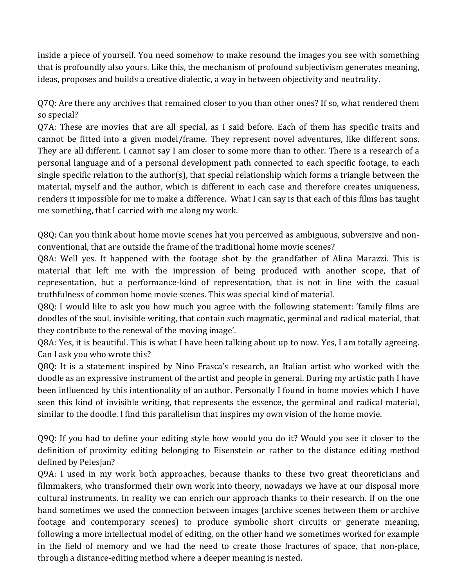inside a piece of yourself. You need somehow to make resound the images you see with something that is profoundly also yours. Like this, the mechanism of profound subjectivism generates meaning, ideas, proposes and builds a creative dialectic, a way in between objectivity and neutrality.

Q7Q: Are there any archives that remained closer to you than other ones? If so, what rendered them so special?

 $Q7A$ : These are movies that are all special, as I said before. Each of them has specific traits and cannot be fitted into a given model/frame. They represent novel adventures, like different sons. They are all different. I cannot say I am closer to some more than to other. There is a research of a personal language and of a personal development path connected to each specific footage, to each single specific relation to the author(s), that special relationship which forms a triangle between the material, myself and the author, which is different in each case and therefore creates uniqueness, renders it impossible for me to make a difference. What I can say is that each of this films has taught me something, that I carried with me along my work.

Q8Q: Can you think about home movie scenes hat you perceived as ambiguous, subversive and nonconventional, that are outside the frame of the traditional home movie scenes?

Q8A: Well yes. It happened with the footage shot by the grandfather of Alina Marazzi. This is material that left me with the impression of being produced with another scope, that of representation, but a performance-kind of representation, that is not in line with the casual truthfulness of common home movie scenes. This was special kind of material.

Q8Q: I would like to ask you how much you agree with the following statement: 'family films are doodles of the soul, invisible writing, that contain such magmatic, germinal and radical material, that they contribute to the renewal of the moving image'.

Q8A: Yes, it is beautiful. This is what I have been talking about up to now. Yes, I am totally agreeing. Can I ask you who wrote this?

Q8Q: It is a statement inspired by Nino Frasca's research, an Italian artist who worked with the doodle as an expressive instrument of the artist and people in general. During my artistic path I have been influenced by this intentionality of an author. Personally I found in home movies which I have seen this kind of invisible writing, that represents the essence, the germinal and radical material, similar to the doodle. I find this parallelism that inspires my own vision of the home movie.

Q9Q: If you had to define your editing style how would you do it? Would you see it closer to the definition of proximity editing belonging to Eisenstein or rather to the distance editing method defined by Pelesjan?

Q9A: I used in my work both approaches, because thanks to these two great theoreticians and filmmakers, who transformed their own work into theory, nowadays we have at our disposal more cultural instruments. In reality we can enrich our approach thanks to their research. If on the one hand sometimes we used the connection between images (archive scenes between them or archive footage and contemporary scenes) to produce symbolic short circuits or generate meaning, following a more intellectual model of editing, on the other hand we sometimes worked for example in the field of memory and we had the need to create those fractures of space, that non-place, through a distance-editing method where a deeper meaning is nested.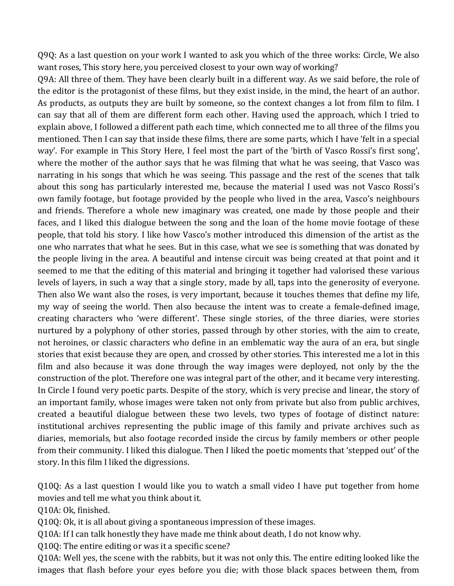$Q9Q$ : As a last question on your work I wanted to ask you which of the three works: Circle, We also want roses, This story here, you perceived closest to your own way of working?

Q9A: All three of them. They have been clearly built in a different way. As we said before, the role of the editor is the protagonist of these films, but they exist inside, in the mind, the heart of an author. As products, as outputs they are built by someone, so the context changes a lot from film to film. I can say that all of them are different form each other. Having used the approach, which I tried to explain above, I followed a different path each time, which connected me to all three of the films you mentioned. Then I can say that inside these films, there are some parts, which I have 'felt in a special way'. For example in This Story Here, I feel most the part of the 'birth of Vasco Rossi's first song', where the mother of the author says that he was filming that what he was seeing, that Vasco was narrating in his songs that which he was seeing. This passage and the rest of the scenes that talk about this song has particularly interested me, because the material I used was not Vasco Rossi's own family footage, but footage provided by the people who lived in the area, Vasco's neighbours and friends. Therefore a whole new imaginary was created, one made by those people and their faces, and I liked this dialogue between the song and the loan of the home movie footage of these people, that told his story. I like how Vasco's mother introduced this dimension of the artist as the one who narrates that what he sees. But in this case, what we see is something that was donated by the people living in the area. A beautiful and intense circuit was being created at that point and it seemed to me that the editing of this material and bringing it together had valorised these various levels of layers, in such a way that a single story, made by all, taps into the generosity of everyone. Then also We want also the roses, is very important, because it touches themes that define my life, my way of seeing the world. Then also because the intent was to create a female-defined image, creating characters who 'were different'. These single stories, of the three diaries, were stories nurtured by a polyphony of other stories, passed through by other stories, with the aim to create, not heroines, or classic characters who define in an emblematic way the aura of an era, but single stories that exist because they are open, and crossed by other stories. This interested me a lot in this film and also because it was done through the way images were deployed, not only by the the construction of the plot. Therefore one was integral part of the other, and it became very interesting. In Circle I found very poetic parts. Despite of the story, which is very precise and linear, the story of an important family, whose images were taken not only from private but also from public archives, created a beautiful dialogue between these two levels, two types of footage of distinct nature: institutional archives representing the public image of this family and private archives such as diaries, memorials, but also footage recorded inside the circus by family members or other people from their community. I liked this dialogue. Then I liked the poetic moments that 'stepped out' of the story. In this film I liked the digressions.

Q10Q: As a last question I would like you to watch a small video I have put together from home movies and tell me what you think about it.

Q10A: Ok, finished.

Q10Q: Ok, it is all about giving a spontaneous impression of these images.

Q10A: If I can talk honestly they have made me think about death, I do not know why.

Q10Q: The entire editing or was it a specific scene?

Q10A: Well yes, the scene with the rabbits, but it was not only this. The entire editing looked like the images that flash before your eyes before you die; with those black spaces between them, from